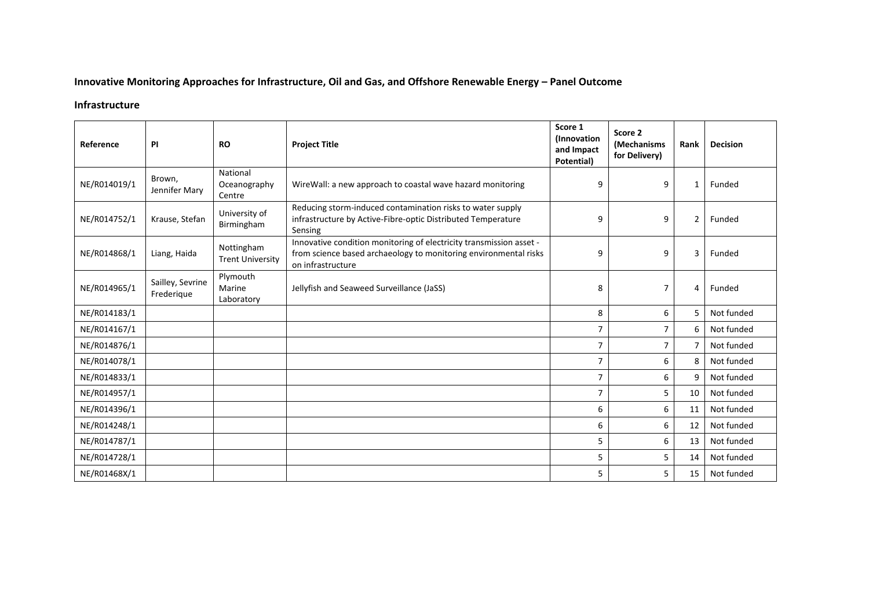## **Innovative Monitoring Approaches for Infrastructure, Oil and Gas, and Offshore Renewable Energy – Panel Outcome**

## **Infrastructure**

| Reference    | PI                             | <b>RO</b>                             | <b>Project Title</b>                                                                                                                                         | Score 1<br>(Innovation<br>and Impact<br>Potential) | Score 2<br><i>(Mechanisms</i><br>for Delivery) | Rank           | <b>Decision</b> |
|--------------|--------------------------------|---------------------------------------|--------------------------------------------------------------------------------------------------------------------------------------------------------------|----------------------------------------------------|------------------------------------------------|----------------|-----------------|
| NE/R014019/1 | Brown,<br>Jennifer Mary        | National<br>Oceanography<br>Centre    | WireWall: a new approach to coastal wave hazard monitoring                                                                                                   | 9                                                  | 9                                              | 1              | Funded          |
| NE/R014752/1 | Krause, Stefan                 | University of<br>Birmingham           | Reducing storm-induced contamination risks to water supply<br>infrastructure by Active-Fibre-optic Distributed Temperature<br>Sensing                        | 9                                                  | 9                                              | $\overline{2}$ | Funded          |
| NE/R014868/1 | Liang, Haida                   | Nottingham<br><b>Trent University</b> | Innovative condition monitoring of electricity transmission asset -<br>from science based archaeology to monitoring environmental risks<br>on infrastructure | 9                                                  | 9                                              | 3              | Funded          |
| NE/R014965/1 | Sailley, Sevrine<br>Frederique | Plymouth<br>Marine<br>Laboratory      | Jellyfish and Seaweed Surveillance (JaSS)                                                                                                                    | 8                                                  | $\overline{7}$                                 | 4              | Funded          |
| NE/R014183/1 |                                |                                       |                                                                                                                                                              | 8                                                  | 6                                              | 5              | Not funded      |
| NE/R014167/1 |                                |                                       |                                                                                                                                                              | $\overline{7}$                                     | $\overline{7}$                                 | 6              | Not funded      |
| NE/R014876/1 |                                |                                       |                                                                                                                                                              | $\overline{7}$                                     | $\overline{7}$                                 | $\overline{7}$ | Not funded      |
| NE/R014078/1 |                                |                                       |                                                                                                                                                              | $\overline{7}$                                     | 6                                              | 8              | Not funded      |
| NE/R014833/1 |                                |                                       |                                                                                                                                                              | $\overline{7}$                                     | 6                                              | 9              | Not funded      |
| NE/R014957/1 |                                |                                       |                                                                                                                                                              | $\overline{7}$                                     | 5                                              | 10             | Not funded      |
| NE/R014396/1 |                                |                                       |                                                                                                                                                              | 6                                                  | 6                                              | 11             | Not funded      |
| NE/R014248/1 |                                |                                       |                                                                                                                                                              | 6                                                  | 6                                              | 12             | Not funded      |
| NE/R014787/1 |                                |                                       |                                                                                                                                                              | 5                                                  | 6                                              | 13             | Not funded      |
| NE/R014728/1 |                                |                                       |                                                                                                                                                              | 5                                                  | 5                                              | 14             | Not funded      |
| NE/R01468X/1 |                                |                                       |                                                                                                                                                              | 5                                                  | 5                                              | 15             | Not funded      |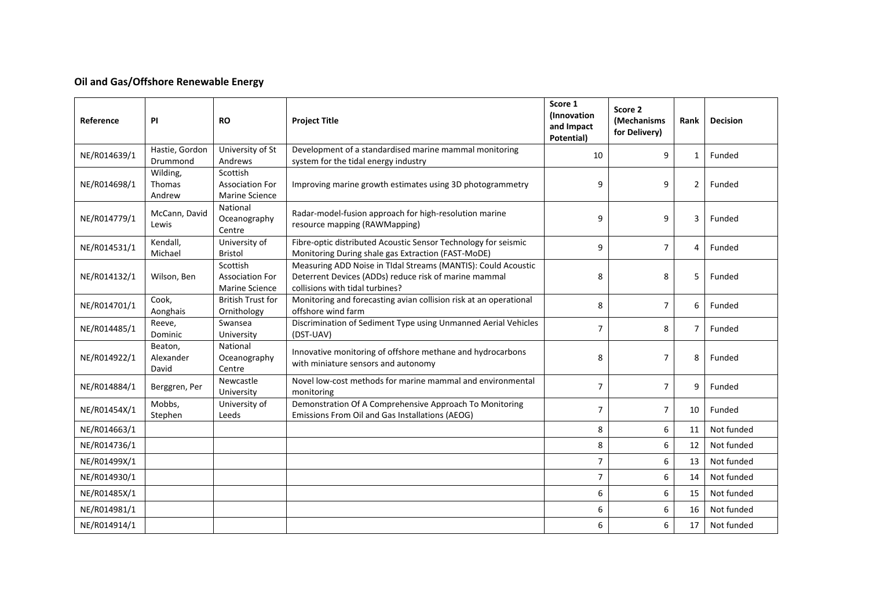## **Oil and Gas/Offshore Renewable Energy**

| Reference    | ΡI                            | <b>RO</b>                                                   | <b>Project Title</b>                                                                                                                                      | Score 1<br>(Innovation<br>and Impact<br>Potential) | Score 2<br>(Mechanisms<br>for Delivery) | Rank           | <b>Decision</b> |
|--------------|-------------------------------|-------------------------------------------------------------|-----------------------------------------------------------------------------------------------------------------------------------------------------------|----------------------------------------------------|-----------------------------------------|----------------|-----------------|
| NE/R014639/1 | Hastie, Gordon<br>Drummond    | University of St<br>Andrews                                 | Development of a standardised marine mammal monitoring<br>system for the tidal energy industry                                                            | 10                                                 | 9                                       | 1              | Funded          |
| NE/R014698/1 | Wilding,<br>Thomas<br>Andrew  | Scottish<br><b>Association For</b><br><b>Marine Science</b> | Improving marine growth estimates using 3D photogrammetry                                                                                                 | 9                                                  | 9                                       | $\overline{2}$ | Funded          |
| NE/R014779/1 | McCann, David<br>Lewis        | National<br>Oceanography<br>Centre                          | Radar-model-fusion approach for high-resolution marine<br>resource mapping (RAWMapping)                                                                   | 9                                                  | 9                                       | 3              | Funded          |
| NE/R014531/1 | Kendall,<br>Michael           | University of<br><b>Bristol</b>                             | Fibre-optic distributed Acoustic Sensor Technology for seismic<br>Monitoring During shale gas Extraction (FAST-MoDE)                                      | 9                                                  | $\overline{7}$                          | 4              | Funded          |
| NE/R014132/1 | Wilson, Ben                   | Scottish<br><b>Association For</b><br><b>Marine Science</b> | Measuring ADD Noise in TIdal Streams (MANTIS): Could Acoustic<br>Deterrent Devices (ADDs) reduce risk of marine mammal<br>collisions with tidal turbines? | 8                                                  | 8                                       | 5              | Funded          |
| NE/R014701/1 | Cook,<br>Aonghais             | <b>British Trust for</b><br>Ornithology                     | Monitoring and forecasting avian collision risk at an operational<br>offshore wind farm                                                                   | 8                                                  | $\overline{7}$                          | 6              | Funded          |
| NE/R014485/1 | Reeve,<br>Dominic             | Swansea<br>University                                       | Discrimination of Sediment Type using Unmanned Aerial Vehicles<br>(DST-UAV)                                                                               | $\overline{7}$                                     | 8                                       | $\overline{7}$ | Funded          |
| NE/R014922/1 | Beaton,<br>Alexander<br>David | National<br>Oceanography<br>Centre                          | Innovative monitoring of offshore methane and hydrocarbons<br>with miniature sensors and autonomy                                                         | 8                                                  | 7                                       | 8              | Funded          |
| NE/R014884/1 | Berggren, Per                 | Newcastle<br>University                                     | Novel low-cost methods for marine mammal and environmental<br>monitoring                                                                                  | $\overline{7}$                                     | $\overline{7}$                          | 9              | Funded          |
| NE/R01454X/1 | Mobbs,<br>Stephen             | University of<br>Leeds                                      | Demonstration Of A Comprehensive Approach To Monitoring<br>Emissions From Oil and Gas Installations (AEOG)                                                | $\overline{7}$                                     | $\overline{7}$                          | 10             | Funded          |
| NE/R014663/1 |                               |                                                             |                                                                                                                                                           | 8                                                  | 6                                       | 11             | Not funded      |
| NE/R014736/1 |                               |                                                             |                                                                                                                                                           | 8                                                  | 6                                       | 12             | Not funded      |
| NE/R01499X/1 |                               |                                                             |                                                                                                                                                           | $\overline{7}$                                     | 6                                       | 13             | Not funded      |
| NE/R014930/1 |                               |                                                             |                                                                                                                                                           | $\overline{7}$                                     | 6                                       | 14             | Not funded      |
| NE/R01485X/1 |                               |                                                             |                                                                                                                                                           | 6                                                  | 6                                       | 15             | Not funded      |
| NE/R014981/1 |                               |                                                             |                                                                                                                                                           | 6                                                  | 6                                       | 16             | Not funded      |
| NE/R014914/1 |                               |                                                             |                                                                                                                                                           | 6                                                  | 6                                       | 17             | Not funded      |